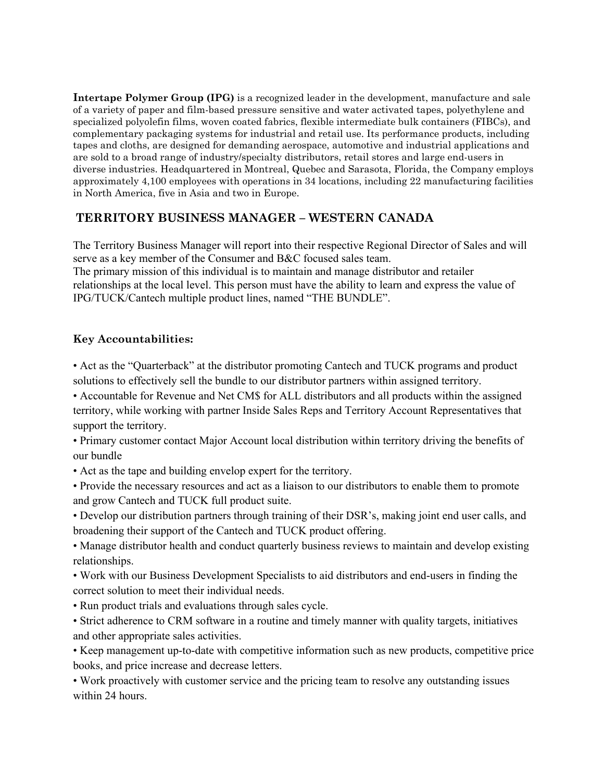**Intertape Polymer Group (IPG)** is a recognized leader in the development, manufacture and sale of a variety of paper and film-based pressure sensitive and water activated tapes, polyethylene and specialized polyolefin films, woven coated fabrics, flexible intermediate bulk containers (FIBCs), and complementary packaging systems for industrial and retail use. Its performance products, including tapes and cloths, are designed for demanding aerospace, automotive and industrial applications and are sold to a broad range of industry/specialty distributors, retail stores and large end-users in diverse industries. Headquartered in Montreal, Quebec and Sarasota, Florida, the Company employs approximately 4,100 employees with operations in 34 locations, including 22 manufacturing facilities in North America, five in Asia and two in Europe.

## **TERRITORY BUSINESS MANAGER – WESTERN CANADA**

The Territory Business Manager will report into their respective Regional Director of Sales and will serve as a key member of the Consumer and B&C focused sales team. The primary mission of this individual is to maintain and manage distributor and retailer relationships at the local level. This person must have the ability to learn and express the value of IPG/TUCK/Cantech multiple product lines, named "THE BUNDLE".

## **Key Accountabilities:**

• Act as the "Quarterback" at the distributor promoting Cantech and TUCK programs and product solutions to effectively sell the bundle to our distributor partners within assigned territory.

• Accountable for Revenue and Net CM\$ for ALL distributors and all products within the assigned territory, while working with partner Inside Sales Reps and Territory Account Representatives that support the territory.

• Primary customer contact Major Account local distribution within territory driving the benefits of our bundle

• Act as the tape and building envelop expert for the territory.

• Provide the necessary resources and act as a liaison to our distributors to enable them to promote and grow Cantech and TUCK full product suite.

• Develop our distribution partners through training of their DSR's, making joint end user calls, and broadening their support of the Cantech and TUCK product offering.

• Manage distributor health and conduct quarterly business reviews to maintain and develop existing relationships.

• Work with our Business Development Specialists to aid distributors and end-users in finding the correct solution to meet their individual needs.

• Run product trials and evaluations through sales cycle.

• Strict adherence to CRM software in a routine and timely manner with quality targets, initiatives and other appropriate sales activities.

• Keep management up-to-date with competitive information such as new products, competitive price books, and price increase and decrease letters.

• Work proactively with customer service and the pricing team to resolve any outstanding issues within 24 hours.